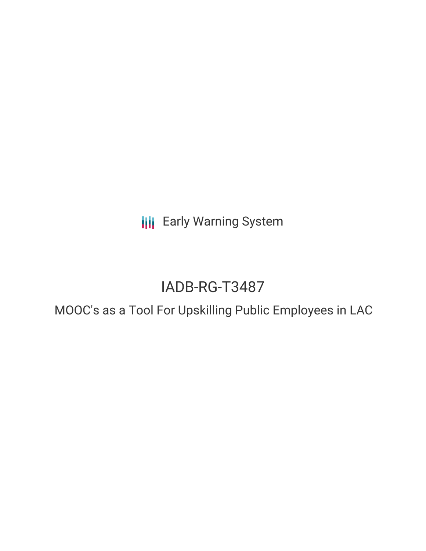**III** Early Warning System

# IADB-RG-T3487

# MOOC's as a Tool For Upskilling Public Employees in LAC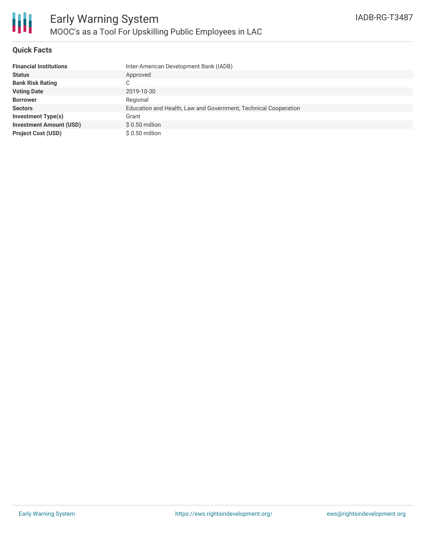

#### **Quick Facts**

| <b>Financial Institutions</b>  | Inter-American Development Bank (IADB)                          |
|--------------------------------|-----------------------------------------------------------------|
| <b>Status</b>                  | Approved                                                        |
| <b>Bank Risk Rating</b>        |                                                                 |
| <b>Voting Date</b>             | 2019-10-30                                                      |
| <b>Borrower</b>                | Regional                                                        |
| <b>Sectors</b>                 | Education and Health, Law and Government, Technical Cooperation |
| Investment Type(s)             | Grant                                                           |
| <b>Investment Amount (USD)</b> | $$0.50$ million                                                 |
| <b>Project Cost (USD)</b>      | $$0.50$ million                                                 |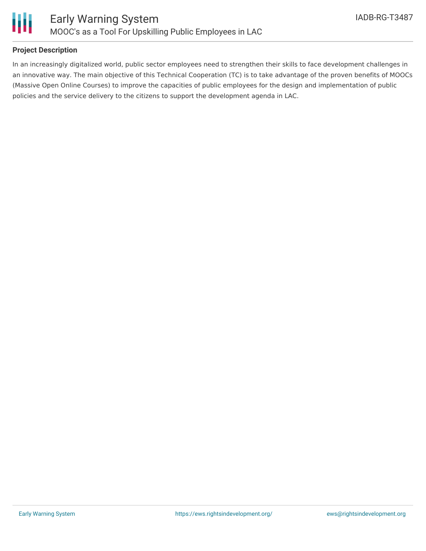

## **Project Description**

In an increasingly digitalized world, public sector employees need to strengthen their skills to face development challenges in an innovative way. The main objective of this Technical Cooperation (TC) is to take advantage of the proven benefits of MOOCs (Massive Open Online Courses) to improve the capacities of public employees for the design and implementation of public policies and the service delivery to the citizens to support the development agenda in LAC.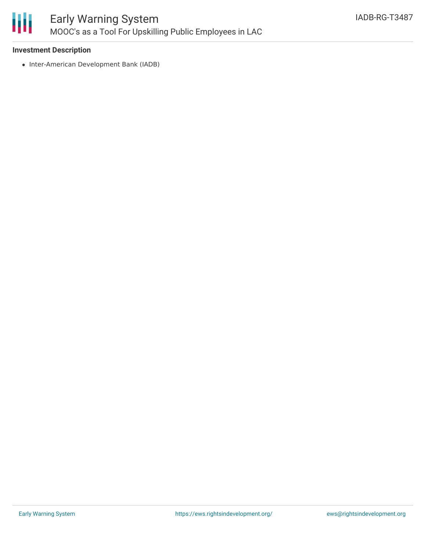

## **Investment Description**

• Inter-American Development Bank (IADB)